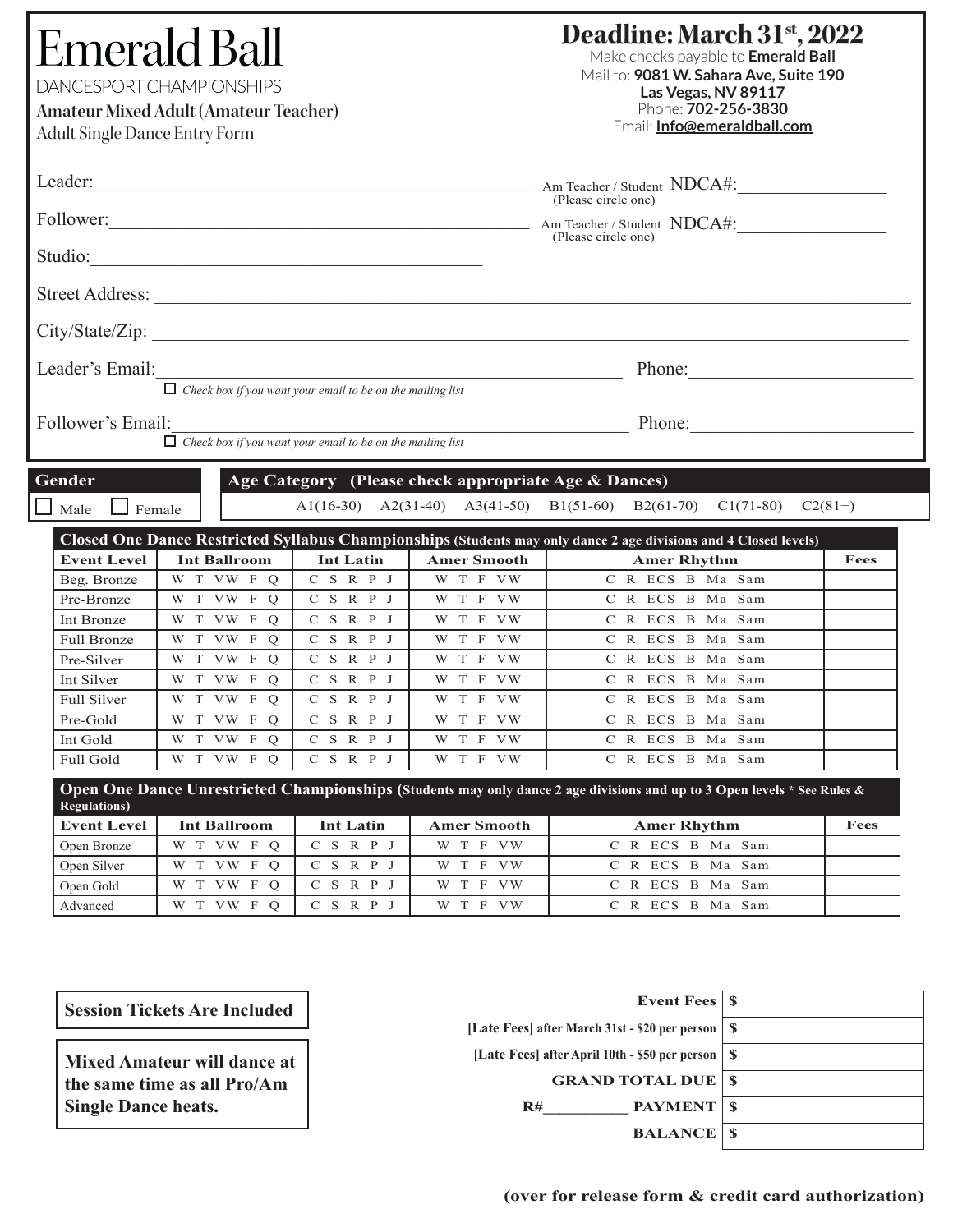| Leader:<br>Am Teacher / Student NDCA#:<br>(Please circle one)<br>Follower: <u>Am Teacher / Student NDCA#:</u><br>(Please circle one)<br>Leader's Email:<br>Phone:<br>$\Box$ Check box if you want your email to be on the mailing list<br>Follower's Email:<br>Phone:<br>$\Box$ Check box if you want your email to be on the mailing list<br>Gender<br>Age Category (Please check appropriate Age & Dances)<br>A1(16-30) A2(31-40) A3(41-50) B1(51-60) B2(61-70) C1(71-80) C2(81+)<br>Male<br>Female<br>Closed One Dance Restricted Syllabus Championships (Students may only dance 2 age divisions and 4 Closed levels)<br><b>Event Level</b><br><b>Int Ballroom</b><br><b>Int Latin</b><br><b>Amer Smooth</b><br><b>Amer Rhythm</b><br>Fees<br>C S R P J<br>W T F VW<br>C R ECS B Ma Sam<br>W T VW F Q<br>Beg. Bronze<br>Pre-Bronze<br>W T VW F O<br>C S R P J<br>W T F VW<br>C R ECS B Ma Sam<br>W T VW F Q<br>C S R P J<br>Int Bronze<br>W T F VW<br>C R ECS B Ma Sam<br>$C$ S R P J<br>W T VW F Q<br>W T F VW<br>C R ECS B Ma Sam<br><b>Full Bronze</b><br>W T VW F Q<br>C S R P J<br>W T F VW<br>C R ECS B Ma Sam<br>Pre-Silver<br>Int Silver<br>W T VW F Q<br>C S R P J<br>C R ECS B Ma Sam<br>W T F VW<br>W T VW F Q<br>W T F VW<br>C S R P J<br>C R ECS B Ma Sam<br><b>Full Silver</b><br>$C$ S R P J<br>Pre-Gold<br>W T VW F Q<br>W T F VW<br>C R ECS B Ma Sam<br>$C$ S R P J<br>Int Gold<br>W T VW F Q<br>W T F VW<br>C R ECS B Ma Sam<br>$C$ S R P J<br>W T VW F Q<br>W T F VW<br>C R ECS B Ma Sam<br>Full Gold<br>Open One Dance Unrestricted Championships (Students may only dance 2 age divisions and up to 3 Open levels * See Rules &<br><b>Regulations</b> )<br><b>Event Level</b><br><b>Int Latin</b><br><b>Int Ballroom</b><br><b>Amer Smooth</b><br><b>Amer Rhythm</b><br>Fees<br>$C$ S R P J<br>W T F VW<br>W T VW F Q<br>C R ECS B Ma Sam<br>Open Bronze<br>C S R P J<br>W T F VW<br>Open Silver<br>W T VW F Q<br>C R ECS B Ma Sam<br>$C$ S R P J<br>W T F VW<br>C R ECS B Ma Sam<br>Open Gold<br>W T VW F O | <b>Adult Single Dance Entry Form</b> | <b>Emerald Ball</b><br>DANCESPORT CHAMPIONSHIPS<br><b>Amateur Mixed Adult (Amateur Teacher)</b> |             |          | Deadline: March 31 <sup>st</sup> , 2022<br>Make checks payable to Emerald Ball<br>Mail to: 9081 W. Sahara Ave, Suite 190<br>Las Vegas, NV 89117<br>Phone: 702-256-3830<br>Email: Info@emeraldball.com |  |  |
|---------------------------------------------------------------------------------------------------------------------------------------------------------------------------------------------------------------------------------------------------------------------------------------------------------------------------------------------------------------------------------------------------------------------------------------------------------------------------------------------------------------------------------------------------------------------------------------------------------------------------------------------------------------------------------------------------------------------------------------------------------------------------------------------------------------------------------------------------------------------------------------------------------------------------------------------------------------------------------------------------------------------------------------------------------------------------------------------------------------------------------------------------------------------------------------------------------------------------------------------------------------------------------------------------------------------------------------------------------------------------------------------------------------------------------------------------------------------------------------------------------------------------------------------------------------------------------------------------------------------------------------------------------------------------------------------------------------------------------------------------------------------------------------------------------------------------------------------------------------------------------------------------------------------------------------------------------------------------------------------------------------------------------------|--------------------------------------|-------------------------------------------------------------------------------------------------|-------------|----------|-------------------------------------------------------------------------------------------------------------------------------------------------------------------------------------------------------|--|--|
|                                                                                                                                                                                                                                                                                                                                                                                                                                                                                                                                                                                                                                                                                                                                                                                                                                                                                                                                                                                                                                                                                                                                                                                                                                                                                                                                                                                                                                                                                                                                                                                                                                                                                                                                                                                                                                                                                                                                                                                                                                       |                                      |                                                                                                 |             |          |                                                                                                                                                                                                       |  |  |
|                                                                                                                                                                                                                                                                                                                                                                                                                                                                                                                                                                                                                                                                                                                                                                                                                                                                                                                                                                                                                                                                                                                                                                                                                                                                                                                                                                                                                                                                                                                                                                                                                                                                                                                                                                                                                                                                                                                                                                                                                                       |                                      |                                                                                                 |             |          |                                                                                                                                                                                                       |  |  |
|                                                                                                                                                                                                                                                                                                                                                                                                                                                                                                                                                                                                                                                                                                                                                                                                                                                                                                                                                                                                                                                                                                                                                                                                                                                                                                                                                                                                                                                                                                                                                                                                                                                                                                                                                                                                                                                                                                                                                                                                                                       |                                      |                                                                                                 |             |          |                                                                                                                                                                                                       |  |  |
|                                                                                                                                                                                                                                                                                                                                                                                                                                                                                                                                                                                                                                                                                                                                                                                                                                                                                                                                                                                                                                                                                                                                                                                                                                                                                                                                                                                                                                                                                                                                                                                                                                                                                                                                                                                                                                                                                                                                                                                                                                       |                                      |                                                                                                 |             |          |                                                                                                                                                                                                       |  |  |
|                                                                                                                                                                                                                                                                                                                                                                                                                                                                                                                                                                                                                                                                                                                                                                                                                                                                                                                                                                                                                                                                                                                                                                                                                                                                                                                                                                                                                                                                                                                                                                                                                                                                                                                                                                                                                                                                                                                                                                                                                                       |                                      |                                                                                                 |             |          |                                                                                                                                                                                                       |  |  |
|                                                                                                                                                                                                                                                                                                                                                                                                                                                                                                                                                                                                                                                                                                                                                                                                                                                                                                                                                                                                                                                                                                                                                                                                                                                                                                                                                                                                                                                                                                                                                                                                                                                                                                                                                                                                                                                                                                                                                                                                                                       |                                      |                                                                                                 |             |          |                                                                                                                                                                                                       |  |  |
|                                                                                                                                                                                                                                                                                                                                                                                                                                                                                                                                                                                                                                                                                                                                                                                                                                                                                                                                                                                                                                                                                                                                                                                                                                                                                                                                                                                                                                                                                                                                                                                                                                                                                                                                                                                                                                                                                                                                                                                                                                       |                                      |                                                                                                 |             |          |                                                                                                                                                                                                       |  |  |
|                                                                                                                                                                                                                                                                                                                                                                                                                                                                                                                                                                                                                                                                                                                                                                                                                                                                                                                                                                                                                                                                                                                                                                                                                                                                                                                                                                                                                                                                                                                                                                                                                                                                                                                                                                                                                                                                                                                                                                                                                                       |                                      |                                                                                                 |             |          |                                                                                                                                                                                                       |  |  |
|                                                                                                                                                                                                                                                                                                                                                                                                                                                                                                                                                                                                                                                                                                                                                                                                                                                                                                                                                                                                                                                                                                                                                                                                                                                                                                                                                                                                                                                                                                                                                                                                                                                                                                                                                                                                                                                                                                                                                                                                                                       |                                      |                                                                                                 |             |          |                                                                                                                                                                                                       |  |  |
|                                                                                                                                                                                                                                                                                                                                                                                                                                                                                                                                                                                                                                                                                                                                                                                                                                                                                                                                                                                                                                                                                                                                                                                                                                                                                                                                                                                                                                                                                                                                                                                                                                                                                                                                                                                                                                                                                                                                                                                                                                       |                                      |                                                                                                 |             |          |                                                                                                                                                                                                       |  |  |
|                                                                                                                                                                                                                                                                                                                                                                                                                                                                                                                                                                                                                                                                                                                                                                                                                                                                                                                                                                                                                                                                                                                                                                                                                                                                                                                                                                                                                                                                                                                                                                                                                                                                                                                                                                                                                                                                                                                                                                                                                                       |                                      |                                                                                                 |             |          |                                                                                                                                                                                                       |  |  |
|                                                                                                                                                                                                                                                                                                                                                                                                                                                                                                                                                                                                                                                                                                                                                                                                                                                                                                                                                                                                                                                                                                                                                                                                                                                                                                                                                                                                                                                                                                                                                                                                                                                                                                                                                                                                                                                                                                                                                                                                                                       |                                      |                                                                                                 |             |          |                                                                                                                                                                                                       |  |  |
|                                                                                                                                                                                                                                                                                                                                                                                                                                                                                                                                                                                                                                                                                                                                                                                                                                                                                                                                                                                                                                                                                                                                                                                                                                                                                                                                                                                                                                                                                                                                                                                                                                                                                                                                                                                                                                                                                                                                                                                                                                       |                                      |                                                                                                 |             |          |                                                                                                                                                                                                       |  |  |
|                                                                                                                                                                                                                                                                                                                                                                                                                                                                                                                                                                                                                                                                                                                                                                                                                                                                                                                                                                                                                                                                                                                                                                                                                                                                                                                                                                                                                                                                                                                                                                                                                                                                                                                                                                                                                                                                                                                                                                                                                                       |                                      |                                                                                                 |             |          |                                                                                                                                                                                                       |  |  |
|                                                                                                                                                                                                                                                                                                                                                                                                                                                                                                                                                                                                                                                                                                                                                                                                                                                                                                                                                                                                                                                                                                                                                                                                                                                                                                                                                                                                                                                                                                                                                                                                                                                                                                                                                                                                                                                                                                                                                                                                                                       |                                      |                                                                                                 |             |          |                                                                                                                                                                                                       |  |  |
|                                                                                                                                                                                                                                                                                                                                                                                                                                                                                                                                                                                                                                                                                                                                                                                                                                                                                                                                                                                                                                                                                                                                                                                                                                                                                                                                                                                                                                                                                                                                                                                                                                                                                                                                                                                                                                                                                                                                                                                                                                       |                                      |                                                                                                 |             |          |                                                                                                                                                                                                       |  |  |
|                                                                                                                                                                                                                                                                                                                                                                                                                                                                                                                                                                                                                                                                                                                                                                                                                                                                                                                                                                                                                                                                                                                                                                                                                                                                                                                                                                                                                                                                                                                                                                                                                                                                                                                                                                                                                                                                                                                                                                                                                                       |                                      |                                                                                                 |             |          |                                                                                                                                                                                                       |  |  |
|                                                                                                                                                                                                                                                                                                                                                                                                                                                                                                                                                                                                                                                                                                                                                                                                                                                                                                                                                                                                                                                                                                                                                                                                                                                                                                                                                                                                                                                                                                                                                                                                                                                                                                                                                                                                                                                                                                                                                                                                                                       |                                      |                                                                                                 |             |          |                                                                                                                                                                                                       |  |  |
|                                                                                                                                                                                                                                                                                                                                                                                                                                                                                                                                                                                                                                                                                                                                                                                                                                                                                                                                                                                                                                                                                                                                                                                                                                                                                                                                                                                                                                                                                                                                                                                                                                                                                                                                                                                                                                                                                                                                                                                                                                       |                                      |                                                                                                 |             |          |                                                                                                                                                                                                       |  |  |
|                                                                                                                                                                                                                                                                                                                                                                                                                                                                                                                                                                                                                                                                                                                                                                                                                                                                                                                                                                                                                                                                                                                                                                                                                                                                                                                                                                                                                                                                                                                                                                                                                                                                                                                                                                                                                                                                                                                                                                                                                                       |                                      |                                                                                                 |             |          |                                                                                                                                                                                                       |  |  |
|                                                                                                                                                                                                                                                                                                                                                                                                                                                                                                                                                                                                                                                                                                                                                                                                                                                                                                                                                                                                                                                                                                                                                                                                                                                                                                                                                                                                                                                                                                                                                                                                                                                                                                                                                                                                                                                                                                                                                                                                                                       |                                      |                                                                                                 |             |          |                                                                                                                                                                                                       |  |  |
|                                                                                                                                                                                                                                                                                                                                                                                                                                                                                                                                                                                                                                                                                                                                                                                                                                                                                                                                                                                                                                                                                                                                                                                                                                                                                                                                                                                                                                                                                                                                                                                                                                                                                                                                                                                                                                                                                                                                                                                                                                       |                                      |                                                                                                 |             |          |                                                                                                                                                                                                       |  |  |
|                                                                                                                                                                                                                                                                                                                                                                                                                                                                                                                                                                                                                                                                                                                                                                                                                                                                                                                                                                                                                                                                                                                                                                                                                                                                                                                                                                                                                                                                                                                                                                                                                                                                                                                                                                                                                                                                                                                                                                                                                                       |                                      |                                                                                                 |             |          |                                                                                                                                                                                                       |  |  |
|                                                                                                                                                                                                                                                                                                                                                                                                                                                                                                                                                                                                                                                                                                                                                                                                                                                                                                                                                                                                                                                                                                                                                                                                                                                                                                                                                                                                                                                                                                                                                                                                                                                                                                                                                                                                                                                                                                                                                                                                                                       | Advanced                             | W T VW F Q                                                                                      | $C$ S R P J | W T F VW | C R ECS B Ma Sam                                                                                                                                                                                      |  |  |

| <b>Session Tickets Are Included</b> |  |  |  |  |
|-------------------------------------|--|--|--|--|
|-------------------------------------|--|--|--|--|

**Mixed Amateur will dance at the same time as all Pro/Am Single Dance heats.**

| -S       |
|----------|
| <b>S</b> |
| -S       |
| <b>S</b> |
|          |
|          |
|          |